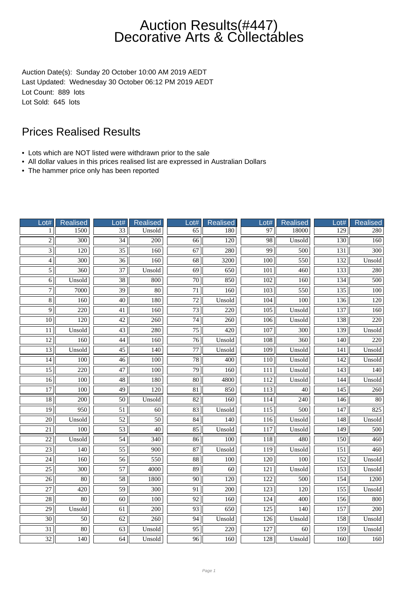Auction Date(s): Sunday 20 October 10:00 AM 2019 AEDT Last Updated: Wednesday 30 October 06:12 PM 2019 AEDT Lot Count: 889 lots Lot Sold: 645 lots

- Lots which are NOT listed were withdrawn prior to the sale
- All dollar values in this prices realised list are expressed in Australian Dollars
- The hammer price only has been reported

| Lot#            | Realised         | Lot#            | <b>Realised</b>  | Lot#            | <b>Realised</b>  | Lot#             | Realised         | Lot#             | <b>Realised</b>  |
|-----------------|------------------|-----------------|------------------|-----------------|------------------|------------------|------------------|------------------|------------------|
| 1               | 1500             | $\overline{33}$ | Unsold           | 65              | 180              | 97               | 18000            | 129              | 280              |
| $\overline{2}$  | $\overline{300}$ | $\overline{34}$ | $\overline{200}$ | $\overline{66}$ | $\overline{120}$ | $\overline{98}$  | Unsold           | 130              | 160              |
| $\overline{3}$  | 120              | $\overline{35}$ | 160              | 67              | 280              | 99               | 500              | 131              | 300              |
| $\overline{4}$  | 300              | $\overline{36}$ | 160              | $\overline{68}$ | 3200             | 100              | 550              | 132              | Unsold           |
| $\overline{5}$  | 360              | 37              | Unsold           | 69              | 650              | 101              | 460              | 133              | 280              |
| $\overline{6}$  | Unsold           | $\overline{38}$ | 800              | $\overline{70}$ | 850              | $\overline{102}$ | 160              | 134              | 500              |
| $\overline{7}$  | 7000             | 39              | $\overline{80}$  | $\overline{71}$ | 160              | 103              | 550              | 135              | 100              |
| $\overline{8}$  | 160              | $\overline{40}$ | 180              | $\overline{72}$ | Unsold           | 104              | 100              | 136              | $\overline{120}$ |
| $\overline{9}$  | 220              | 41              | 160              | 73              | 220              | 105              | Unsold           | 137              | 160              |
| 10              | 120              | 42              | 260              | 74              | 260              | 106              | Unsold           | 138              | 220              |
| 11              | Unsold           | 43              | 280              | 75              | 420              | 107              | 300              | 139              | Unsold           |
| $\overline{12}$ | $\overline{160}$ | $\overline{44}$ | 160              | $\overline{76}$ | Unsold           | 108              | 360              | 140              | 220              |
| $\overline{13}$ | Unsold           | $\overline{45}$ | 140              | $\overline{77}$ | Unsold           | $\overline{109}$ | Unsold           | 141              | Unsold           |
| 14              | 100              | $\overline{46}$ | 100              | 78              | 400              | 110              | Unsold           | 142              | Unsold           |
| $\overline{15}$ | $\overline{220}$ | $\overline{47}$ | 100              | $\overline{79}$ | 160              | 111              | Unsold           | $\overline{143}$ | 140              |
| 16              | 100              | 48              | 180              | $\overline{80}$ | 4800             | 112              | Unsold           | 144              | Unsold           |
| $\overline{17}$ | 100              | $\overline{49}$ | $\overline{120}$ | $\overline{81}$ | 850              | $\overline{113}$ | $\overline{40}$  | $\overline{145}$ | 260              |
| $\overline{18}$ | 200              | 50              | Unsold           | $\overline{82}$ | 160              | 114              | 240              | 146              | $\overline{80}$  |
| $\overline{19}$ | 950              | $\overline{51}$ | $\overline{60}$  | 83              | Unsold           | $\overline{115}$ | 500              | 147              | 825              |
| 20              | Unsold           | $\overline{52}$ | 50               | 84              | 140              | 116              | Unsold           | 148              | Unsold           |
| 21              | 100              | 53              | 40               | 85              | Unsold           | 117              | Unsold           | 149              | 500              |
| $\overline{22}$ | Unsold           | $\overline{54}$ | 340              | 86              | $\overline{100}$ | 118              | 480              | 150              | 460              |
| $\overline{23}$ | $\overline{140}$ | $\overline{55}$ | $\overline{900}$ | $\overline{87}$ | Unsold           | $\overline{119}$ | Unsold           | 151              | $\overline{460}$ |
| $\overline{24}$ | 160              | $\overline{56}$ | 550              | $\overline{88}$ | 100              | $\overline{120}$ | $\overline{100}$ | 152              | Unsold           |
| $\overline{25}$ | 300              | 57              | 4000             | 89              | 60               | 121              | Unsold           | 153              | Unsold           |
| $\overline{26}$ | $\overline{80}$  | $\overline{58}$ | 1800             | $\overline{90}$ | 120              | 122              | 500              | 154              | 1200             |
| $\overline{27}$ | 420              | $\overline{59}$ | 300              | 91              | 200              | 123              | 120              | 155              | Unsold           |
| $\overline{28}$ | $\overline{80}$  | $\overline{60}$ | 100              | $\overline{92}$ | 160              | $\overline{124}$ | 400              | 156              | 800              |
| 29              | Unsold           | 61              | $\overline{200}$ | 93              | 650              | 125              | 140              | 157              | 200              |
| $\overline{30}$ | $\overline{50}$  | 62              | 260              | 94              | Unsold           | 126              | Unsold           | 158              | Unsold           |
| 31              | 80               | 63              | Unsold           | 95              | 220              | 127              | 60               | 159              | Unsold           |
| $\overline{32}$ | 140              | 64              | Unsold           | 96              | 160              | 128              | Unsold           | 160              | 160              |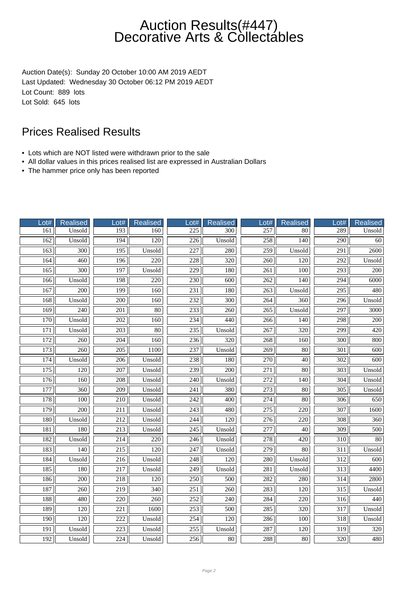Auction Date(s): Sunday 20 October 10:00 AM 2019 AEDT Last Updated: Wednesday 30 October 06:12 PM 2019 AEDT Lot Count: 889 lots Lot Sold: 645 lots

- Lots which are NOT listed were withdrawn prior to the sale
- All dollar values in this prices realised list are expressed in Australian Dollars
- The hammer price only has been reported

| Lot#             | <b>Realised</b>  | Lot#             | Realised         | Lot#             | <b>Realised</b>  | Lot#             | <b>Realised</b>  | Lot#             | <b>Realised</b> |
|------------------|------------------|------------------|------------------|------------------|------------------|------------------|------------------|------------------|-----------------|
| 161              | Unsold           | 193              | 160              | 225              | $\overline{300}$ | 257              | 80               | 289              | Unsold          |
| 162              | Unsold           | 194              | 120              | $\overline{226}$ | Unsold           | 258              | $\overline{140}$ | $\overline{290}$ | 60              |
| 163              | 300              | 195              | Unsold           | 227              | 280              | 259              | Unsold           | 291              | 2600            |
| 164              | 460              | 196              | 220              | 228              | 320              | 260              | 120              | 292              | Unsold          |
| 165              | 300              | 197              | Unsold           | 229              | 180              | 261              | 100              | 293              | 200             |
| 166              | Unsold           | 198              | 220              | 230              | 600              | $\overline{262}$ | 140              | 294              | 6000            |
| 167              | $\overline{200}$ | 199              | 160              | $\overline{231}$ | 180              | $\overline{263}$ | Unsold           | $\overline{295}$ | 480             |
| 168              | Unsold           | 200              | 160              | 232              | $\overline{300}$ | $\overline{264}$ | 360              | 296              | Unsold          |
| 169              | 240              | 201              | 80               | 233              | 260              | $\overline{265}$ | Unsold           | 297              | 3000            |
| 170              | Unsold           | 202              | 160              | 234              | 440              | 266              | 140              | 298              | 200             |
| 171              | Unsold           | 203              | $\overline{80}$  | 235              | Unsold           | 267              | 320              | 299              | 420             |
| 172              | 260              | $\overline{204}$ | 160              | 236              | $\overline{320}$ | 268              | 160              | $\overline{300}$ | 800             |
| 173              | $\overline{260}$ | $\overline{205}$ | 1100             | 237              | Unsold           | $\overline{269}$ | $\overline{80}$  | $\overline{301}$ | 600             |
| 174              | Unsold           | 206              | Unsold           | 238              | 180              | 270              | 40               | 302              | 600             |
| $\overline{175}$ | 120              | 207              | Unsold           | 239              | 200              | $\overline{271}$ | 80               | 303              | Unsold          |
| 176              | 160              | 208              | Unsold           | 240              | Unsold           | 272              | 140              | 304              | Unsold          |
| 177              | $\overline{360}$ | $\overline{209}$ | Unsold           | 241              | 380              | $\overline{273}$ | $\overline{80}$  | $\overline{305}$ | Unsold          |
| 178              | 100              | 210              | Unsold           | $\overline{242}$ | 400              | 274              | $\overline{80}$  | 306              | 650             |
| 179              | $\overline{200}$ | $\overline{211}$ | Unsold           | $\overline{243}$ | 480              | $\overline{275}$ | $\overline{220}$ | 307              | 1600            |
| 180              | Unsold           | 212              | Unsold           | $\overline{244}$ | 120              | 276              | 220              | 308              | 360             |
| 181              | 180              | 213              | Unsold           | 245              | Unsold           | 277              | 40               | 309              | 500             |
| 182              | Unsold           | 214              | $\overline{220}$ | $\overline{246}$ | Unsold           | $\overline{278}$ | $\overline{420}$ | 310              | $\overline{80}$ |
| 183              | $\overline{140}$ | $\overline{215}$ | $\overline{120}$ | $\overline{247}$ | Unsold           | $\overline{279}$ | $\overline{80}$  | $\overline{311}$ | Unsold          |
| 184              | Unsold           | $\overline{216}$ | Unsold           | 248              | $\overline{120}$ | 280              | Unsold           | $\overline{312}$ | 600             |
| 185              | 180              | 217              | Unsold           | 249              | Unsold           | 281              | Unsold           | 313              | 4400            |
| 186              | 200              | 218              | 120              | 250              | 500              | 282              | 280              | 314              | 2800            |
| 187              | 260              | 219              | 340              | 251              | 260              | 283              | 120              | 315              | Unsold          |
| 188              | 480              | $\overline{220}$ | $\overline{260}$ | 252              | $\overline{240}$ | 284              | $\overline{220}$ | $\overline{316}$ | 440             |
| 189              | $\overline{120}$ | 221              | 1600             | 253              | 500              | $\overline{285}$ | $\overline{320}$ | $\overline{317}$ | Unsold          |
| 190              | 120              | $\overline{222}$ | Unsold           | 254              | 120              | 286              | 100              | 318              | Unsold          |
| 191              | Unsold           | 223              | Unsold           | 255              | Unsold           | 287              | 120              | 319              | 320             |
| 192              | Unsold           | 224              | Unsold           | 256              | 80               | 288              | 80               | 320              | 480             |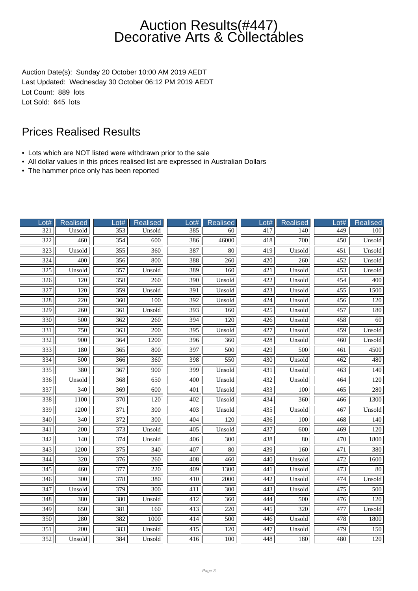Auction Date(s): Sunday 20 October 10:00 AM 2019 AEDT Last Updated: Wednesday 30 October 06:12 PM 2019 AEDT Lot Count: 889 lots Lot Sold: 645 lots

- Lots which are NOT listed were withdrawn prior to the sale
- All dollar values in this prices realised list are expressed in Australian Dollars
- The hammer price only has been reported

| Lot#             | Realised          | Lot#             | <b>Realised</b>  | Lot#             | <b>Realised</b> | $_0$ ot# | Realised         | Lot#             | <b>Realised</b>  |
|------------------|-------------------|------------------|------------------|------------------|-----------------|----------|------------------|------------------|------------------|
| 321              | Unsold            | 353              | Unsold           | 385              | 60              | 417      | 140              | 449              | 100              |
| $\overline{322}$ | 460               | $\frac{354}{7}$  | 600              | 386              | 46000           | 418      | $\overline{700}$ | $\overline{450}$ | Unsold           |
| $\overline{323}$ | Unsold            | 355              | 360              | 387              | $\overline{80}$ | 419      | Unsold           | $\overline{451}$ | Unsold           |
| $\frac{324}{ }$  | 400               | 356              | 800              | 388              | 260             | 420      | 260              | 452              | Unsold           |
| 325              | Unsold            | 357              | Unsold           | 389              | 160             | 421      | Unsold           | 453              | Unsold           |
| $\overline{326}$ | 120               | 358              | 260              | 390              | Unsold          | 422      | Unsold           | 454              | $\overline{400}$ |
| 327              | 120               | 359              | Unsold           | 391              | Unsold          | 423      | Unsold           | 455              | 1500             |
| 328              | $\overline{220}$  | $\overline{360}$ | 100              | $\overline{392}$ | Unsold          | 424      | Unsold           | 456              | 120              |
| $\overline{329}$ | 260               | 361              | Unsold           | 393              | 160             | 425      | Unsold           | 457              | 180              |
| 330              | 500               | 362              | 260              | 394              | 120             | 426      | Unsold           | 458              | 60               |
| 331              | 750               | 363              | 200              | 395              | Unsold          | 427      | Unsold           | 459              | Unsold           |
| $\overline{332}$ | $\frac{900}{900}$ | 364              | 1200             | $\overline{396}$ | 360             | 428      | Unsold           | 460              | Unsold           |
| 333              | 180               | $\overline{365}$ | 800              | 397              | 500             | 429      | 500              | $\overline{461}$ | 4500             |
| 334              | 500               | 366              | 360              | 398              | 550             | 430      | Unsold           | 462              | 480              |
| $\overline{335}$ | 380               | 367              | 900              | 399              | Unsold          | 431      | Unsold           | 463              | 140              |
| 336              | Unsold            | 368              | 650              | 400              | Unsold          | 432      | Unsold           | 464              | 120              |
| 337              | $\overline{340}$  | $\overline{369}$ | 600              | 401              | Unsold          | 433      | $\overline{100}$ | $\overline{465}$ | 280              |
| 338              | 1100              | 370              | 120              | 402              | Unsold          | 434      | 360              | 466              | 1300             |
| 339              | 1200              | 371              | $\overline{300}$ | 403              | Unsold          | 435      | Unsold           | 467              | Unsold           |
| 340              | 340               | 372              | 300              | 404              | 120             | 436      | 100              | 468              | 140              |
| 341              | 200               | 373              | Unsold           | 405              | Unsold          | 437      | 600              | 469              | 120              |
| 342              | 140               | 374              | Unsold           | 406              | 300             | 438      | $\overline{80}$  | 470              | 1800             |
| $\overline{343}$ | 1200              | $\overline{375}$ | $\overline{340}$ | 407              | $\overline{80}$ | 439      | $\overline{160}$ | 471              | 380              |
| $\overline{344}$ | $\overline{320}$  | $\overline{376}$ | $\overline{260}$ | 408              | 460             | 440      | Unsold           | 472              | 1600             |
| 345              | 460               | 377              | 220              | 409              | 1300            | 441      | Unsold           | 473              | $80\,$           |
| $\overline{346}$ | 300               | 378              | 380              | 410              | 2000            | 442      | Unsold           | 474              | Unsold           |
| 347              | Unsold            | 379              | 300              | 411              | 300             | 443      | Unsold           | 475              | 500              |
| $\overline{348}$ | 380               | 380              | Unsold           | $\overline{412}$ | 360             | 444      | $\overline{500}$ | 476              | 120              |
| 349              | 650               | 381              | 160              | 413              | 220             | 445      | 320              | 477              | Unsold           |
| 350              | 280               | 382              | 1000             | 414              | 500             | 446      | Unsold           | 478              | 1800             |
| 351              | 200               | 383              | Unsold           | 415              | 120             | 447      | Unsold           | 479              | 150              |
| 352              | Unsold            | 384              | Unsold           | 416              | 100             | 448      | 180              | 480              | 120              |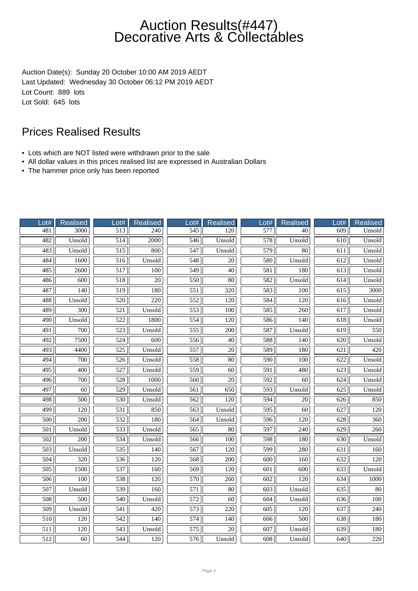Auction Date(s): Sunday 20 October 10:00 AM 2019 AEDT Last Updated: Wednesday 30 October 06:12 PM 2019 AEDT Lot Count: 889 lots Lot Sold: 645 lots

- Lots which are NOT listed were withdrawn prior to the sale
- All dollar values in this prices realised list are expressed in Australian Dollars
- The hammer price only has been reported

| ot#              | Realised         | Lot#             | <b>Realised</b>   | $_0$ ot#          | <b>Realised</b>  | $_0$ ot#         | Realised         | Lot#             | Realised         |
|------------------|------------------|------------------|-------------------|-------------------|------------------|------------------|------------------|------------------|------------------|
| 481              | 3000             | 513              | 240               | $\frac{545}{545}$ | 120              | 577              | 40               | 609              | Unsold           |
| 482              | Unsold           | $\overline{514}$ | $\overline{2000}$ | 546               | Unsold           | $\overline{578}$ | Unsold           | $\overline{610}$ | Unsold           |
| 483              | Unsold           | $\overline{515}$ | 800               | 547               | Unsold           | 579              | 80               | 611              | Unsold           |
| 484              | 1600             | 516              | Unsold            | 548               | $\overline{20}$  | 580              | Unsold           | 612              | Unsold           |
| 485              | 2600             | 517              | 100               | 549               | 40               | 581              | 180              | 613              | Unsold           |
| 486              | 600              | $\overline{518}$ | $\overline{20}$   | 550               | $\overline{80}$  | 582              | Unsold           | $\overline{614}$ | Unsold           |
| 487              | 140              | 519              | 180               | 551               | 320              | 583              | 100              | 615              | 3000             |
| 488              | Unsold           | $\overline{520}$ | $\overline{220}$  | $\overline{552}$  | $\overline{120}$ | 584              | 120              | 616              | Unsold           |
| 489              | 300              | 521              | Unsold            | 553               | 100              | 585              | 260              | 617              | Unsold           |
| 490              | Unsold           | 522              | 1800              | 554               | 120              | 586              | 140              | 618              | Unsold           |
| 491              | 700              | 523              | Unsold            | 555               | 200              | 587              | Unsold           | 619              | 550              |
| 492              | 7500             | $\overline{524}$ | 600               | 556               | $\overline{40}$  | 588              | $\overline{140}$ | 620              | Unsold           |
| 493              | 4400             | $\overline{525}$ | Unsold            | 557               | $\overline{20}$  | 589              | 180              | 621              | 420              |
| 494              | 700              | 526              | Unsold            | 558               | $\overline{80}$  | 590              | 100              | 622              | Unsold           |
| 495              | 400              | $\overline{527}$ | Unsold            | 559               | 60               | 591              | 480              | 623              | Unsold           |
| 496              | 700              | 528              | 1000              | 560               | 20               | 592              | 60               | 624              | Unsold           |
| 497              | $\overline{60}$  | $\overline{529}$ | Unsold            | 561               | 650              | $\overline{593}$ | Unsold           | $\overline{625}$ | Unsold           |
| 498              | 500              | 530              | Unsold            | 562               | 120              | 594              | $20\,$           | 626              | 850              |
| 499              | $\overline{120}$ | $\overline{531}$ | 850               | 563               | Unsold           | $\overline{595}$ | 60               | 627              | $\overline{120}$ |
| 500              | 200              | 532              | 180               | 564               | Unsold           | 596              | 120              | 628              | 360              |
| 501              | Unsold           | 533              | Unsold            | 565               | 80               | 597              | 240              | 629              | 260              |
| $\overline{502}$ | $\overline{200}$ | 534              | Unsold            | 566               | $\overline{100}$ | 598              | 180              | 630              | Unsold           |
| $\overline{503}$ | Unsold           | $\overline{535}$ | 140               | 567               | $\overline{120}$ | 599              | 280              | 631              | 160              |
| 504              | $\overline{320}$ | 536              | $\overline{120}$  | 568               | $\overline{200}$ | $\overline{600}$ | 160              | 632              | 120              |
| 505              | 1500             | 537              | 160               | 569               | 120              | 601              | 600              | 633              | Unsold           |
| 506              | 100              | 538              | 120               | 570               | 260              | 602              | 120              | 634              | 1000             |
| 507              | Unsold           | 539              | 160               | 571               | 80               | 603              | Unsold           | 635              | $80\,$           |
| 508              | 500              | $\overline{540}$ | Unsold            | $\overline{572}$  | 60               | 604              | Unsold           | 636              | 100              |
| 509              | Unsold           | 541              | 420               | 573               | 220              | 605              | 120              | 637              | 240              |
| 510              | 120              | 542              | 140               | 574               | 140              | 606              | 500              | 638              | 180              |
| 511              | 120              | 543              | Unsold            | 575               | 20               | 607              | Unsold           | 639              | 180              |
| 512              | 60               | 544              | 120               | 576               | Unsold           | 608              | Unsold           | 640              | 220              |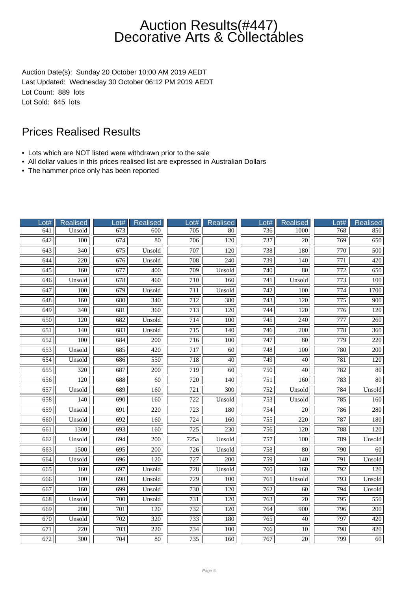Auction Date(s): Sunday 20 October 10:00 AM 2019 AEDT Last Updated: Wednesday 30 October 06:12 PM 2019 AEDT Lot Count: 889 lots Lot Sold: 645 lots

- Lots which are NOT listed were withdrawn prior to the sale
- All dollar values in this prices realised list are expressed in Australian Dollars
- The hammer price only has been reported

| Lot#             | Realised         | Lot# | <b>Realised</b>  | Lot#             | <b>Realised</b>  | Lot#             | Realised         | Lot#             | <b>Realised</b>  |
|------------------|------------------|------|------------------|------------------|------------------|------------------|------------------|------------------|------------------|
| 641              | Unsold           | 673  | 600              | 705              | 80               | 736              | 1000             | 768              | 850              |
| $\overline{642}$ | 100              | 674  | 80               | 706              | 120              | 737              | 20               | 769              | 650              |
| 643              | $\overline{340}$ | 675  | Unsold           | 707              | 120              | 738              | 180              | 770              | 500              |
| 644              | 220              | 676  | Unsold           | 708              | 240              | 739              | 140              | 771              | 420              |
| 645              | 160              | 677  | 400              | $\overline{709}$ | Unsold           | 740              | 80               | 772              | 650              |
| 646              | Unsold           | 678  | 460              | 710              | 160              | 741              | Unsold           | 773              | 100              |
| $\overline{647}$ | $\overline{100}$ | 679  | Unsold           | $\overline{711}$ | Unsold           | $\overline{742}$ | $\overline{100}$ | $\overline{774}$ | 1700             |
| 648              | 160              | 680  | $\overline{340}$ | 712              | 380              | $\overline{743}$ | $\overline{120}$ | $\overline{775}$ | 900              |
| 649              | 340              | 681  | 360              | 713              | 120              | 744              | 120              | 776              | 120              |
| 650              | 120              | 682  | Unsold           | 714              | 100              | 745              | 240              | 777              | 260              |
| 651              | 140              | 683  | Unsold           | 715              | 140              | 746              | 200              | 778              | 360              |
| $\overline{652}$ | 100              | 684  | 200              | 716              | 100              | 747              | 80               | $\overline{779}$ | 220              |
| 653              | Unsold           | 685  | 420              | 717              | $\overline{60}$  | $\overline{748}$ | $\overline{100}$ | 780              | $\overline{200}$ |
| 654              | Unsold           | 686  | 550              | 718              | $\overline{40}$  | 749              | 40               | 781              | 120              |
| 655              | 320              | 687  | 200              | 719              | $\overline{60}$  | 750              | 40               | 782              | 80               |
| 656              | 120              | 688  | 60               | 720              | 140              | 751              | 160              | 783              | 80               |
| 657              | Unsold           | 689  | 160              | 721              | $\overline{300}$ | $\overline{752}$ | Unsold           | 784              | Unsold           |
| 658              | $\overline{140}$ | 690  | 160              | 722              | Unsold           | 753              | Unsold           | 785              | 160              |
| 659              | Unsold           | 691  | 220              | $\overline{723}$ | 180              | 754              | $\overline{20}$  | 786              | 280              |
| 660              | Unsold           | 692  | 160              | 724              | 160              | 755              | 220              | 787              | 180              |
| 661              | 1300             | 693  | 160              | 725              | 230              | 756              | 120              | 788              | 120              |
| 662              | Unsold           | 694  | $\overline{200}$ | 725a             | Unsold           | $\overline{757}$ | 100              | 789              | Unsold           |
| 663              | 1500             | 695  | $\overline{200}$ | $\overline{726}$ | Unsold           | 758              | $\overline{80}$  | 790              | 60               |
| 664              | Unsold           | 696  | 120              | 727              | $\overline{200}$ | 759              | 140              | 791              | Unsold           |
| 665              | 160              | 697  | Unsold           | 728              | Unsold           | 760              | 160              | 792              | 120              |
| 666              | 100              | 698  | Unsold           | 729              | 100              | 761              | Unsold           | 793              | Unsold           |
| 667              | 160              | 699  | Unsold           | 730              | 120              | $\overline{762}$ | 60               | 794              | Unsold           |
| 668              | Unsold           | 700  | Unsold           | 731              | 120              | $\overline{763}$ | 20               | $\overline{795}$ | 550              |
| 669              | $\overline{200}$ | 701  | $\overline{120}$ | 732              | 120              | 764              | $\overline{900}$ | 796              | $\overline{200}$ |
| 670              | Unsold           | 702  | 320              | 733              | 180              | 765              | 40               | 797              | 420              |
| 671              | 220              | 703  | 220              | 734              | 100              | 766              | 10               | 798              | 420              |
| 672              | 300              | 704  | 80               | 735              | 160              | 767              | 20               | 799              | 60               |